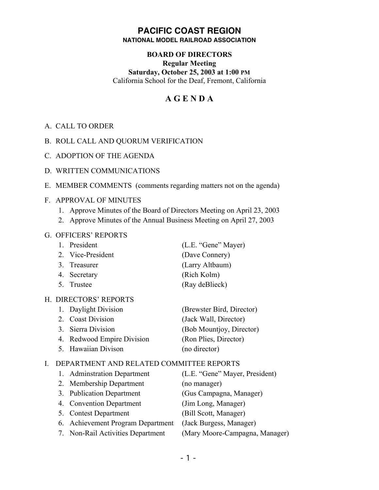## **PACIFIC COAST REGION NATIONAL MODEL RAILROAD ASSOCIATION**

#### **BOARD OF DIRECTORS**

### **Regular Meeting Saturday, October 25, 2003 at 1:00 PM** California School for the Deaf, Fremont, California

# **A G E N D A**

A. CALL TO ORDER

### B. ROLL CALL AND QUORUM VERIFICATION

- C. ADOPTION OF THE AGENDA
- D. WRITTEN COMMUNICATIONS
- E. MEMBER COMMENTS (comments regarding matters not on the agenda)
- F. APPROVAL OF MINUTES
	- 1. Approve Minutes of the Board of Directors Meeting on April 23, 2003
	- 2. Approve Minutes of the Annual Business Meeting on April 27, 2003

#### G. OFFICERS' REPORTS

| 1. President      | (L.E. "Gene" Mayer) |
|-------------------|---------------------|
| 2. Vice-President | (Dave Connery)      |
| 3. Treasurer      | (Larry Altbaum)     |
| 4. Secretary      | (Rich Kolm)         |
| 5. Trustee        | (Ray deBlieck)      |
|                   |                     |

### H. DIRECTORS' REPORTS

| 1. Daylight Division       | (Brewster Bird, Director) |
|----------------------------|---------------------------|
| 2. Coast Division          | (Jack Wall, Director)     |
| 3. Sierra Division         | (Bob Mountjoy, Director)  |
| 4. Redwood Empire Division | (Ron Plies, Director)     |
| 5. Hawaiian Divison        | (no director)             |

### I. DEPARTMENT AND RELATED COMMITTEE REPORTS

| 1. Adminstration Department       | (L.E. "Gene" Mayer, President) |
|-----------------------------------|--------------------------------|
| 2. Membership Department          | (no manager)                   |
| 3. Publication Department         | (Gus Campagna, Manager)        |
| 4. Convention Department          | (Jim Long, Manager)            |
| 5. Contest Department             | (Bill Scott, Manager)          |
| 6. Achievement Program Department | (Jack Burgess, Manager)        |
| 7. Non-Rail Activities Department | (Mary Moore-Campagna, Manager) |